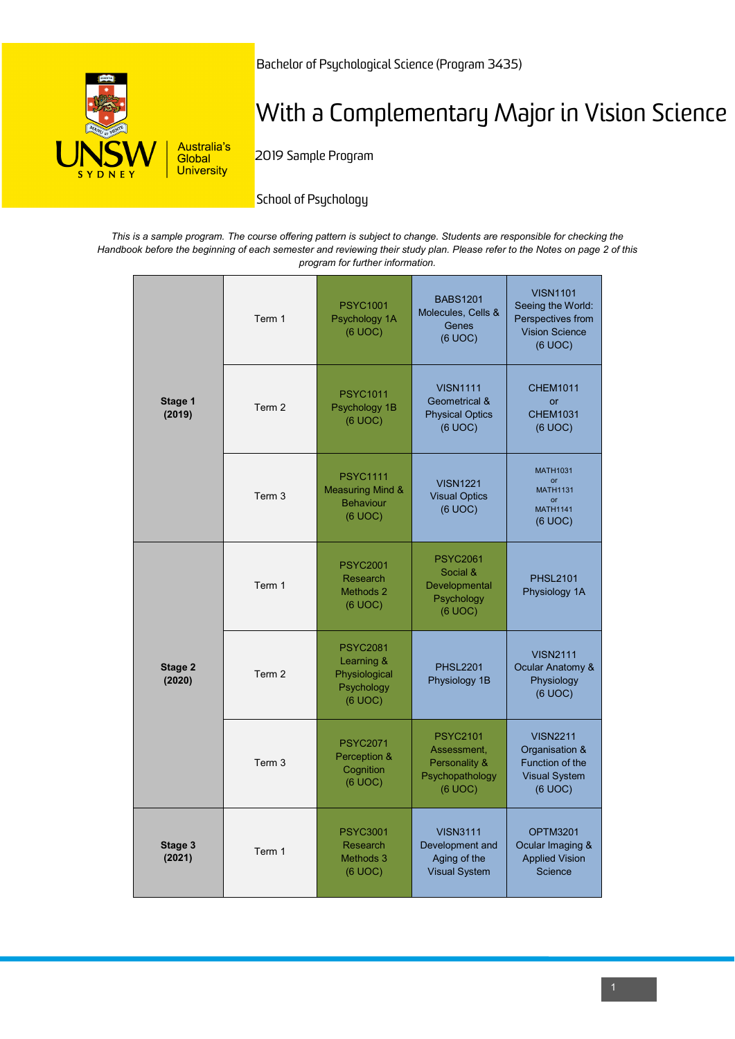

Bachelor of Psychological Science (Program 3435)

# With a Complementary Major in Vision Science

2019 Sample Program

School of Psychology

*This is a sample program. The course offering pattern is subject to change. Students are responsible for checking the Handbook before the beginning of each semester and reviewing their study plan. Please refer to the Notes on page 2 of this program for further information.*

| Stage 1<br>(2019) | Term 1 | <b>PSYC1001</b><br>Psychology 1A<br>(6 UOC)                                   | <b>BABS1201</b><br>Molecules, Cells &<br>Genes<br>(6 UOC)                        | <b>VISN1101</b><br>Seeing the World:<br>Perspectives from<br><b>Vision Science</b><br>(6 UOC) |
|-------------------|--------|-------------------------------------------------------------------------------|----------------------------------------------------------------------------------|-----------------------------------------------------------------------------------------------|
|                   | Term 2 | <b>PSYC1011</b><br>Psychology 1B<br>(6 UOC)                                   | <b>VISN1111</b><br><b>Geometrical &amp;</b><br><b>Physical Optics</b><br>(6 UOC) | <b>CHEM1011</b><br>or<br><b>CHEM1031</b><br>(6 UOC)                                           |
|                   | Term 3 | <b>PSYC1111</b><br><b>Measuring Mind &amp;</b><br><b>Behaviour</b><br>(6 UOC) | <b>VISN1221</b><br><b>Visual Optics</b><br>(6 UOC)                               | <b>MATH1031</b><br>$\alpha$ r<br><b>MATH1131</b><br>or<br><b>MATH1141</b><br>(6 UOC)          |
| Stage 2<br>(2020) | Term 1 | <b>PSYC2001</b><br>Research<br>Methods 2<br>(6 UOC)                           | <b>PSYC2061</b><br>Social &<br>Developmental<br>Psychology<br>(6 UOC)            | <b>PHSL2101</b><br>Physiology 1A                                                              |
|                   | Term 2 | <b>PSYC2081</b><br>Learning &<br>Physiological<br>Psychology<br>(6 UOC)       | <b>PHSL2201</b><br>Physiology 1B                                                 | <b>VISN2111</b><br>Ocular Anatomy &<br>Physiology<br>(6 UOC)                                  |
|                   | Term 3 | <b>PSYC2071</b><br>Perception &<br>Cognition<br>(6 UOC)                       | <b>PSYC2101</b><br>Assessment,<br>Personality &<br>Psychopathology<br>(6 UOC)    | <b>VISN2211</b><br>Organisation &<br>Function of the<br><b>Visual System</b><br>(6 UOC)       |
| Stage 3<br>(2021) | Term 1 | <b>PSYC3001</b><br>Research<br>Methods 3<br>(6 UOC)                           | <b>VISN3111</b><br>Development and<br>Aging of the<br><b>Visual System</b>       | <b>OPTM3201</b><br>Ocular Imaging &<br><b>Applied Vision</b><br>Science                       |